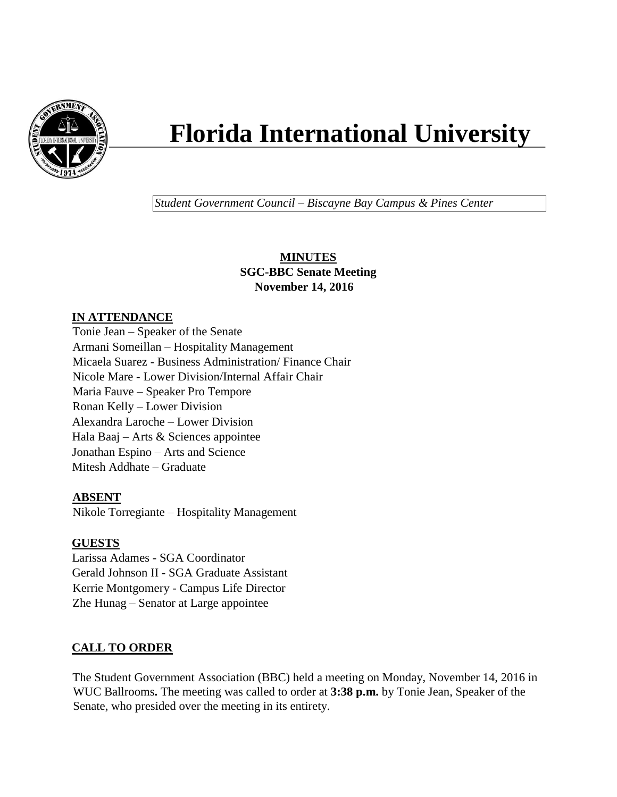

# **Florida International University**

*Student Government Council – Biscayne Bay Campus & Pines Center*

## **MINUTES SGC-BBC Senate Meeting November 14, 2016**

# **IN ATTENDANCE**

Tonie Jean – Speaker of the Senate Armani Someillan – Hospitality Management Micaela Suarez - Business Administration/ Finance Chair Nicole Mare - Lower Division/Internal Affair Chair Maria Fauve – Speaker Pro Tempore Ronan Kelly – Lower Division Alexandra Laroche – Lower Division Hala Baaj – Arts & Sciences appointee Jonathan Espino – Arts and Science Mitesh Addhate – Graduate

# **ABSENT**

Nikole Torregiante – Hospitality Management

## **GUESTS**

Larissa Adames - SGA Coordinator Gerald Johnson II - SGA Graduate Assistant Kerrie Montgomery - Campus Life Director Zhe Hunag – Senator at Large appointee

# **CALL TO ORDER**

The Student Government Association (BBC) held a meeting on Monday, November 14, 2016 in WUC Ballrooms**.** The meeting was called to order at **3:38 p.m.** by Tonie Jean, Speaker of the Senate, who presided over the meeting in its entirety.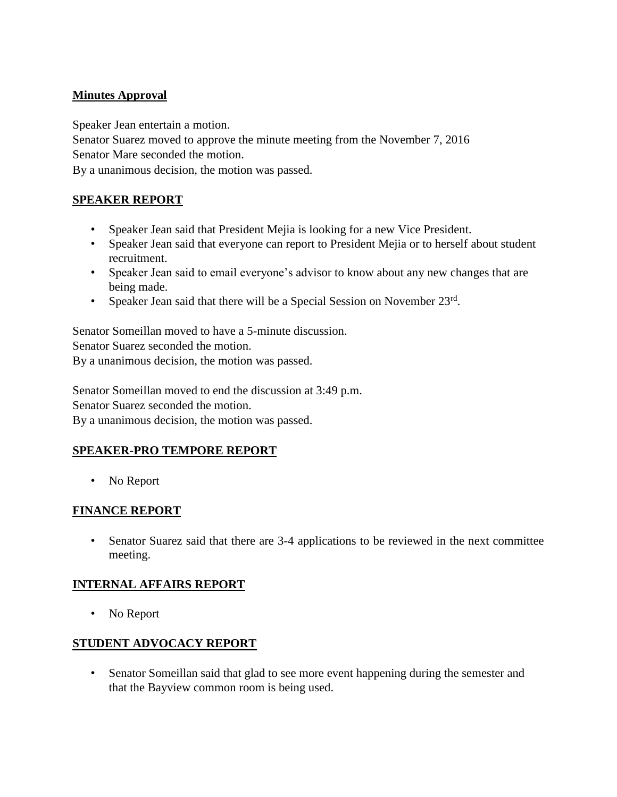# **Minutes Approval**

Speaker Jean entertain a motion.

Senator Suarez moved to approve the minute meeting from the November 7, 2016 Senator Mare seconded the motion.

By a unanimous decision, the motion was passed.

## **SPEAKER REPORT**

- Speaker Jean said that President Mejia is looking for a new Vice President.
- Speaker Jean said that everyone can report to President Mejia or to herself about student recruitment.
- Speaker Jean said to email everyone's advisor to know about any new changes that are being made.
- Speaker Jean said that there will be a Special Session on November  $23<sup>rd</sup>$ .

Senator Someillan moved to have a 5-minute discussion. Senator Suarez seconded the motion. By a unanimous decision, the motion was passed.

Senator Someillan moved to end the discussion at 3:49 p.m. Senator Suarez seconded the motion. By a unanimous decision, the motion was passed.

## **SPEAKER-PRO TEMPORE REPORT**

• No Report

## **FINANCE REPORT**

• Senator Suarez said that there are 3-4 applications to be reviewed in the next committee meeting.

## **INTERNAL AFFAIRS REPORT**

• No Report

## **STUDENT ADVOCACY REPORT**

• Senator Someillan said that glad to see more event happening during the semester and that the Bayview common room is being used.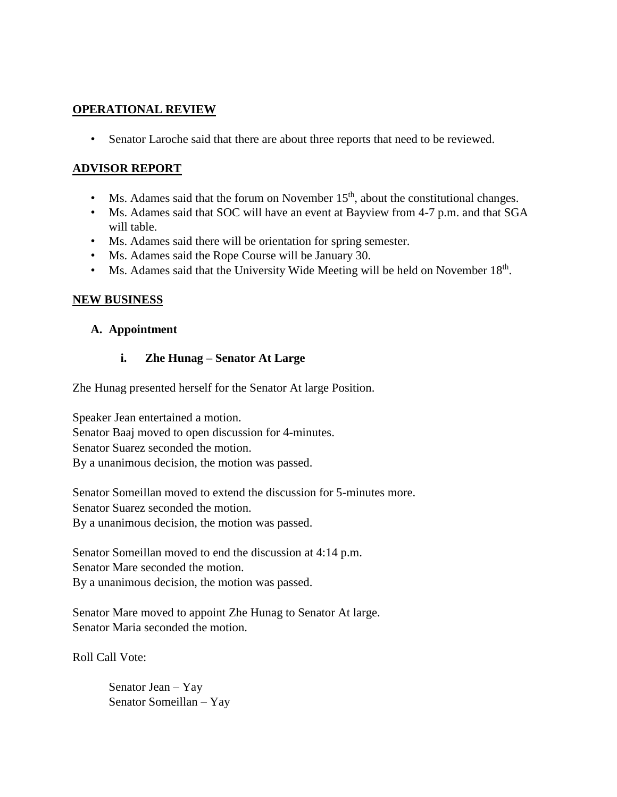#### **OPERATIONAL REVIEW**

• Senator Laroche said that there are about three reports that need to be reviewed.

## **ADVISOR REPORT**

- Ms. Adames said that the forum on November  $15<sup>th</sup>$ , about the constitutional changes.
- Ms. Adames said that SOC will have an event at Bayview from 4-7 p.m. and that SGA will table.
- Ms. Adames said there will be orientation for spring semester.
- Ms. Adames said the Rope Course will be January 30.
- Ms. Adames said that the University Wide Meeting will be held on November  $18<sup>th</sup>$ .

## **NEW BUSINESS**

#### **A. Appointment**

#### **i. Zhe Hunag – Senator At Large**

Zhe Hunag presented herself for the Senator At large Position.

Speaker Jean entertained a motion. Senator Baaj moved to open discussion for 4-minutes. Senator Suarez seconded the motion. By a unanimous decision, the motion was passed.

Senator Someillan moved to extend the discussion for 5-minutes more. Senator Suarez seconded the motion. By a unanimous decision, the motion was passed.

Senator Someillan moved to end the discussion at 4:14 p.m. Senator Mare seconded the motion. By a unanimous decision, the motion was passed.

Senator Mare moved to appoint Zhe Hunag to Senator At large. Senator Maria seconded the motion.

Roll Call Vote:

Senator Jean – Yay Senator Someillan – Yay